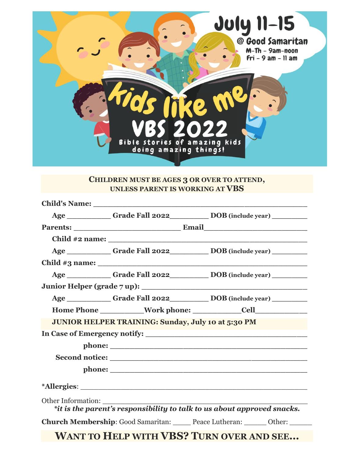

### **CHILDREN MUST BE AGES 3 OR OVER TO ATTEND, UNLESS PARENT IS WORKING AT VBS**

|                                                    | Age ____________ Grade Fall 2022___________ DOB (include year) _________         |
|----------------------------------------------------|----------------------------------------------------------------------------------|
|                                                    |                                                                                  |
|                                                    |                                                                                  |
|                                                    | Age _____________Grade Fall 2022_____________DOB (include year) ________________ |
|                                                    |                                                                                  |
|                                                    | Age _____________Grade Fall 2022____________ DOB (include year) ___________      |
|                                                    |                                                                                  |
|                                                    | Age ____________ Grade Fall 2022___________ DOB (include year) _________         |
|                                                    |                                                                                  |
| JUNIOR HELPER TRAINING: Sunday, July 10 at 5:30 PM |                                                                                  |
|                                                    |                                                                                  |
|                                                    |                                                                                  |
|                                                    |                                                                                  |
|                                                    |                                                                                  |
|                                                    |                                                                                  |
|                                                    | *it is the parent's responsibility to talk to us about approved snacks.          |
|                                                    | <b>Church Membership:</b> Good Samaritan: Peace Lutheran: Other: Other:          |
|                                                    | <b>WANT TO HELP WITH VBS? TURN OVER AND SEE</b>                                  |